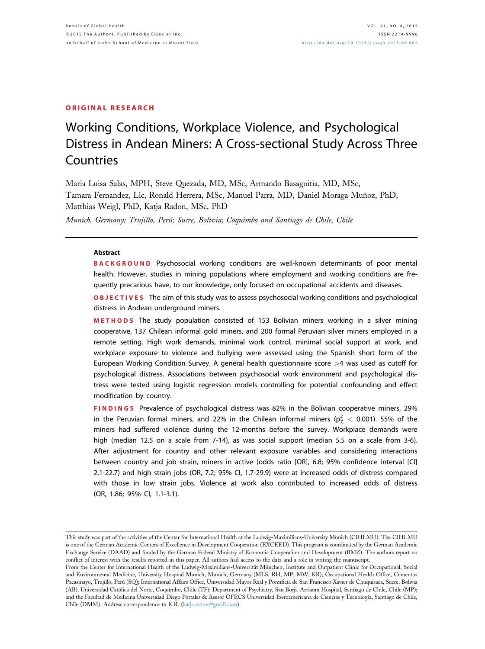## ORIGINAL RESEARCH

# Working Conditions, Workplace Violence, and Psychological Distress in Andean Miners: A Cross-sectional Study Across Three Countries

Maria Luisa Salas, MPH, Steve Quezada, MD, MSc, Armando Basagoitia, MD, MSc, Tamara Fernandez, Lic, Ronald Herrera, MSc, Manuel Parra, MD, Daniel Moraga Muñoz, PhD, Matthias Weigl, PhD, Katja Radon, MSc, PhD

Munich, Germany; Trujillo, Perú; Sucre, Bolivia; Coquimbo and Santiago de Chile, Chile

### Abstract

**BACKGROUND** Psychosocial working conditions are well-known determinants of poor mental health. However, studies in mining populations where employment and working conditions are frequently precarious have, to our knowledge, only focused on occupational accidents and diseases.

**OBJECTIVES** The aim of this study was to assess psychosocial working conditions and psychological distress in Andean underground miners.

METHODS The study population consisted of 153 Bolivian miners working in a silver mining cooperative, 137 Chilean informal gold miners, and 200 formal Peruvian silver miners employed in a remote setting. High work demands, minimal work control, minimal social support at work, and workplace exposure to violence and bullying were assessed using the Spanish short form of the European Working Condition Survey. A general health questionnaire score >4 was used as cutoff for psychological distress. Associations between psychosocial work environment and psychological distress were tested using logistic regression models controlling for potential confounding and effect modification by country.

FINDINGS Prevalence of psychological distress was 82% in the Bolivian cooperative miners, 29% in the Peruvian formal miners, and 22% in the Chilean informal miners ( $p_\chi^2$   $<$  0.001). 55% of the miners had suffered violence during the 12-months before the survey. Workplace demands were high (median 12.5 on a scale from 7-14), as was social support (median 5.5 on a scale from 3-6). After adjustment for country and other relevant exposure variables and considering interactions between country and job strain, miners in active (odds ratio [OR], 6.8; 95% confidence interval [CI] 2.1-22.7) and high strain jobs (OR, 7.2; 95% CI, 1.7-29.9) were at increased odds of distress compared with those in low strain jobs. Violence at work also contributed to increased odds of distress (OR, 1.86; 95% CI, 1.1-3.1).

This study was part of the activities of the Center for International Health at the Ludwig-Maximilians-University Munich (CIHLMU). The CIHLMU is one of the German Academic Centers of Excellence in Development Cooperation (EXCEED). This program is coordinated by the German Academic Exchange Service (DAAD) and funded by the German Federal Ministry of Economic Cooperation and Development (BMZ). The authors report no conflict of interest with the results reported in this paper. All authors had access to the data and a role in writing the manuscript.

From the Center for International Health of the Ludwig-Maximilians-Universität München, Institute and Outpatient Clinic for Occupational, Social and Environmental Medicine, University Hospital Munich, Munich, Germany (MLS, RH, MP, MW, KR); Occupational Health Office, Cementos Pacasmayo, Trujillo, Perú (SQ); International Affairs Office, Universidad Mayor Real y Pontificia de San Francisco Xavier de Chuquisaca, Sucre, Bolivia (AB); Universidad Católica del Norte, Coquimbo, Chile (TF); Department of Psychiatry, San Borja-Arriaran Hospital, Santiago de Chile, Chile (MP); and the Facultad de Medicina Universidad Diego Portales & Asesor OFECS Universidad Iberoamericana de Ciencias y Tecnología, Santiago de Chile, Chile (DMM). Address correspondence to K.R. ([katja.radon@gmail.com](mailto:katja.radon@gmail.com)).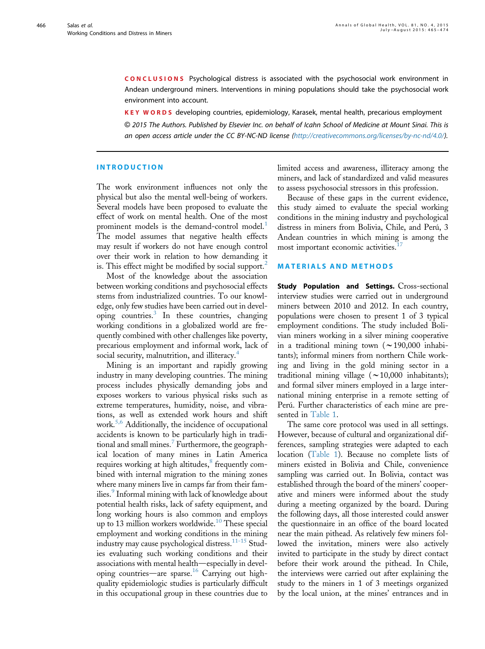CONCLUSIONS Psychological distress is associated with the psychosocial work environment in Andean underground miners. Interventions in mining populations should take the psychosocial work environment into account.

KEY WORDS developing countries, epidemiology, Karasek, mental health, precarious employment © 2015 The Authors. Published by Elsevier Inc. on behalf of Icahn School of Medicine at Mount Sinai. This is an open access article under the CC BY-NC-ND license ([http://creativecommons.org/licenses/by-nc-nd/4.0/](http://creativecommons.org/licenses/by-nc-nd/4.�0/)).

## INTRODUCTION

The work environment influences not only the physical but also the mental well-being of workers. Several models have been proposed to evaluate the effect of work on mental health. One of the most prominent models is the demand-control model.<sup>[1](#page-8-0)</sup> The model assumes that negative health effects may result if workers do not have enough control over their work in relation to how demanding it is. This effect might be modified by social support.<sup>[2](#page-8-0)</sup>

Most of the knowledge about the association between working conditions and psychosocial effects stems from industrialized countries. To our knowledge, only few studies have been carried out in developing countries.<sup>3</sup> In these countries, changing working conditions in a globalized world are frequently combined with other challenges like poverty, precarious employment and informal work, lack of social security, malnutrition, and illiteracy.<sup>[4](#page-8-0)</sup>

Mining is an important and rapidly growing industry in many developing countries. The mining process includes physically demanding jobs and exposes workers to various physical risks such as extreme temperatures, humidity, noise, and vibrations, as well as extended work hours and shift work.<sup>[5,6](#page-8-0)</sup> Additionally, the incidence of occupational accidents is known to be particularly high in tradi-tional and small mines.<sup>[7](#page-8-0)</sup> Furthermore, the geographical location of many mines in Latin America requires working at high altitudes,<sup>[8](#page-8-0)</sup> frequently combined with internal migration to the mining zones where many miners live in camps far from their fam-ilies.<sup>[9](#page-8-0)</sup> Informal mining with lack of knowledge about potential health risks, lack of safety equipment, and long working hours is also common and employs up to 13 million workers worldwide.<sup>[10](#page-8-0)</sup> These special employment and working conditions in the mining industry may cause psychological distress.[11-15](#page-8-0) Studies evaluating such working conditions and their associations with mental health—especially in devel-oping countries—are sparse.<sup>[16](#page-8-0)</sup> Carrying out highquality epidemiologic studies is particularly difficult in this occupational group in these countries due to

limited access and awareness, illiteracy among the miners, and lack of standardized and valid measures to assess psychosocial stressors in this profession.

Because of these gaps in the current evidence, this study aimed to evaluate the special working conditions in the mining industry and psychological distress in miners from Bolivia, Chile, and Perú, 3 Andean countries in which mining is among the most important economic activities.<sup>1</sup>

## MATERIALS AND METHODS

Study Population and Settings. Cross-sectional interview studies were carried out in underground miners between 2010 and 2012. In each country, populations were chosen to present 1 of 3 typical employment conditions. The study included Bolivian miners working in a silver mining cooperative in a traditional mining town  $(\sim 190,000$  inhabitants); informal miners from northern Chile working and living in the gold mining sector in a traditional mining village  $(\sim 10,000$  inhabitants); and formal silver miners employed in a large international mining enterprise in a remote setting of Perú. Further characteristics of each mine are presented in [Table 1.](#page-2-0)

The same core protocol was used in all settings. However, because of cultural and organizational differences, sampling strategies were adapted to each location ([Table 1\)](#page-2-0). Because no complete lists of miners existed in Bolivia and Chile, convenience sampling was carried out. In Bolivia, contact was established through the board of the miners' cooperative and miners were informed about the study during a meeting organized by the board. During the following days, all those interested could answer the questionnaire in an office of the board located near the main pithead. As relatively few miners followed the invitation, miners were also actively invited to participate in the study by direct contact before their work around the pithead. In Chile, the interviews were carried out after explaining the study to the miners in 1 of 3 meetings organized by the local union, at the mines' entrances and in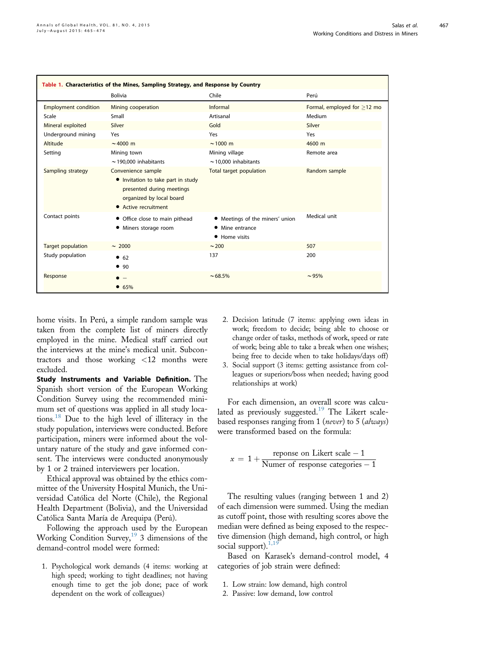<span id="page-2-0"></span>

| Table 1. Characteristics of the Mines, Sampling Strategy, and Response by Country |                                                                                                                                           |                                                                     |                                   |  |  |  |  |
|-----------------------------------------------------------------------------------|-------------------------------------------------------------------------------------------------------------------------------------------|---------------------------------------------------------------------|-----------------------------------|--|--|--|--|
|                                                                                   | <b>Bolivia</b>                                                                                                                            | Chile                                                               | Perú                              |  |  |  |  |
| <b>Employment condition</b>                                                       | Mining cooperation                                                                                                                        | Informal                                                            | Formal, employed for $\geq$ 12 mo |  |  |  |  |
| Scale                                                                             | Small                                                                                                                                     | Artisanal                                                           | Medium                            |  |  |  |  |
| Mineral exploited                                                                 | Silver                                                                                                                                    | Gold                                                                | Silver                            |  |  |  |  |
| Underground mining                                                                | Yes                                                                                                                                       | Yes                                                                 | Yes                               |  |  |  |  |
| Altitude                                                                          | $\sim$ 4000 m                                                                                                                             | $\sim$ 1000 m                                                       | 4600 m                            |  |  |  |  |
| Setting                                                                           | Mining town<br>$\sim$ 190,000 inhabitants                                                                                                 | Mining village<br>$\sim$ 10,000 inhabitants                         | Remote area                       |  |  |  |  |
| Sampling strategy                                                                 | Convenience sample<br>• Invitation to take part in study<br>presented during meetings<br>organized by local board<br>• Active recruitment | Total target population                                             | Random sample                     |  |  |  |  |
| Contact points                                                                    | • Office close to main pithead<br>• Miners storage room                                                                                   | • Meetings of the miners' union<br>• Mine entrance<br>• Home visits | Medical unit                      |  |  |  |  |
| <b>Target population</b>                                                          | $\sim 2000$                                                                                                                               | $\sim$ 200                                                          | 507                               |  |  |  |  |
| Study population                                                                  | 662<br>• 90                                                                                                                               | 137                                                                 | 200                               |  |  |  |  |
| Response                                                                          | • 65%                                                                                                                                     | $~1.68.5\%$                                                         | ~1.95%                            |  |  |  |  |

home visits. In Perú, a simple random sample was taken from the complete list of miners directly employed in the mine. Medical staff carried out the interviews at the mine's medical unit. Subcontractors and those working <12 months were excluded.

Study Instruments and Variable Definition. The Spanish short version of the European Working Condition Survey using the recommended minimum set of questions was applied in all study locations.[18](#page-9-0) Due to the high level of illiteracy in the study population, interviews were conducted. Before participation, miners were informed about the voluntary nature of the study and gave informed consent. The interviews were conducted anonymously by 1 or 2 trained interviewers per location.

Ethical approval was obtained by the ethics committee of the University Hospital Munich, the Universidad Católica del Norte (Chile), the Regional Health Department (Bolivia), and the Universidad Católica Santa María de Arequipa (Perú).

Following the approach used by the European Working Condition Survey,<sup>[19](#page-9-0)</sup> 3 dimensions of the demand-control model were formed:

1. Psychological work demands (4 items: working at high speed; working to tight deadlines; not having enough time to get the job done; pace of work dependent on the work of colleagues)

- 2. Decision latitude (7 items: applying own ideas in work; freedom to decide; being able to choose or change order of tasks, methods of work, speed or rate of work; being able to take a break when one wishes; being free to decide when to take holidays/days off)
- 3. Social support (3 items: getting assistance from colleagues or superiors/boss when needed; having good relationships at work)

For each dimension, an overall score was calcu-lated as previously suggested.<sup>[19](#page-9-0)</sup> The Likert scalebased responses ranging from 1 (never) to 5 (always) were transformed based on the formula:

$$
x = 1 + \frac{\text{response on Likert scale} - 1}{\text{Numer of response categories} - 1}
$$

The resulting values (ranging between 1 and 2) of each dimension were summed. Using the median as cutoff point, those with resulting scores above the median were defined as being exposed to the respective dimension (high demand, high control, or high social support). $1,1$ 

Based on Karasek's demand-control model, 4 categories of job strain were defined:

- 1. Low strain: low demand, high control
- 2. Passive: low demand, low control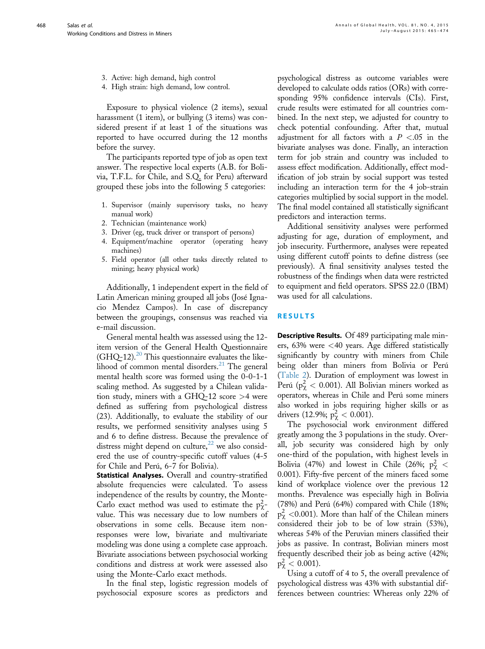- 3. Active: high demand, high control
- 4. High strain: high demand, low control.

Exposure to physical violence (2 items), sexual harassment (1 item), or bullying (3 items) was considered present if at least 1 of the situations was reported to have occurred during the 12 months before the survey.

The participants reported type of job as open text answer. The respective local experts (A.B. for Bolivia, T.F.L. for Chile, and S.Q. for Peru) afterward grouped these jobs into the following 5 categories:

- 1. Supervisor (mainly supervisory tasks, no heavy manual work)
- 2. Technician (maintenance work)
- 3. Driver (eg, truck driver or transport of persons)
- 4. Equipment/machine operator (operating heavy machines)
- 5. Field operator (all other tasks directly related to mining; heavy physical work)

Additionally, 1 independent expert in the field of Latin American mining grouped all jobs (José Ignacio Mendez Campos). In case of discrepancy between the groupings, consensus was reached via e-mail discussion.

General mental health was assessed using the 12 item version of the General Health Questionnaire  $(GHQ-12).^{20}$  $(GHQ-12).^{20}$  $(GHQ-12).^{20}$  This questionnaire evaluates the likelihood of common mental disorders. $^{21}$  $^{21}$  $^{21}$  The general mental health score was formed using the 0-0-1-1 scaling method. As suggested by a Chilean validation study, miners with a GHQ-12 score >4 were defined as suffering from psychological distress (23). Additionally, to evaluate the stability of our results, we performed sensitivity analyses using 5 and 6 to define distress. Because the prevalence of distress might depend on culture, $^{22}$  $^{22}$  $^{22}$  we also considered the use of country-specific cutoff values (4-5 for Chile and Perú, 6-7 for Bolivia).

Statistical Analyses. Overall and country-stratified absolute frequencies were calculated. To assess independence of the results by country, the Monte-Carlo exact method was used to estimate the  $p^2_\chi$ value. This was necessary due to low numbers of observations in some cells. Because item nonresponses were low, bivariate and multivariate modeling was done using a complete case approach. Bivariate associations between psychosocial working conditions and distress at work were assessed also using the Monte-Carlo exact methods.

In the final step, logistic regression models of psychosocial exposure scores as predictors and psychological distress as outcome variables were developed to calculate odds ratios (ORs) with corresponding 95% confidence intervals (CIs). First, crude results were estimated for all countries combined. In the next step, we adjusted for country to check potential confounding. After that, mutual adjustment for all factors with a  $P < 0.05$  in the bivariate analyses was done. Finally, an interaction term for job strain and country was included to assess effect modification. Additionally, effect modification of job strain by social support was tested including an interaction term for the 4 job-strain categories multiplied by social support in the model. The final model contained all statistically significant predictors and interaction terms.

Additional sensitivity analyses were performed adjusting for age, duration of employment, and job insecurity. Furthermore, analyses were repeated using different cutoff points to define distress (see previously). A final sensitivity analyses tested the robustness of the findings when data were restricted to equipment and field operators. SPSS 22.0 (IBM) was used for all calculations.

# RESULTS

Descriptive Results. Of 489 participating male miners, 63% were <40 years. Age differed statistically significantly by country with miners from Chile being older than miners from Bolivia or Perú ([Table 2\)](#page-4-0). Duration of employment was lowest in Perú ( $p^2_\chi < 0.001$ ). All Bolivian miners worked as operators, whereas in Chile and Perú some miners also worked in jobs requiring higher skills or as drivers (12.9%;  $p_\chi^2 < 0.001$ ).

The psychosocial work environment differed greatly among the 3 populations in the study. Overall, job security was considered high by only one-third of the population, with highest levels in Bolivia (47%) and lowest in Chile (26%;  $p_\chi^2$  < 0.001). Fifty-five percent of the miners faced some kind of workplace violence over the previous 12 months. Prevalence was especially high in Bolivia (78%) and Perú (64%) compared with Chile (18%;  $p_\chi^2$  <0.001). More than half of the Chilean miners considered their job to be of low strain (53%), whereas 54% of the Peruvian miners classified their jobs as passive. In contrast, Bolivian miners most frequently described their job as being active (42%;  $p_\chi^2 < 0.001$ ).

Using a cutoff of 4 to 5, the overall prevalence of psychological distress was 43% with substantial differences between countries: Whereas only 22% of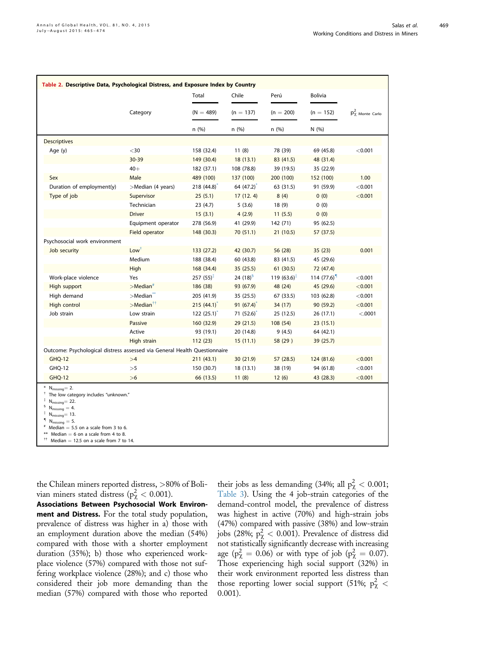<span id="page-4-0"></span>

| Table 2. Descriptive Data, Psychological Distress, and Exposure Index by Country                                                                                                                               |                          |               |                |              |                |                        |  |  |
|----------------------------------------------------------------------------------------------------------------------------------------------------------------------------------------------------------------|--------------------------|---------------|----------------|--------------|----------------|------------------------|--|--|
|                                                                                                                                                                                                                |                          | Total         | Chile          | Perú         | <b>Bolivia</b> |                        |  |  |
|                                                                                                                                                                                                                | Category                 | $(N = 489)$   | $(n = 137)$    | $(n = 200)$  | $(n = 152)$    | $p_\chi^2$ Monte Carlo |  |  |
|                                                                                                                                                                                                                |                          | n(%)          | n(%)           | n(%)         | N(96)          |                        |  |  |
| <b>Descriptives</b>                                                                                                                                                                                            |                          |               |                |              |                |                        |  |  |
| Age (y)                                                                                                                                                                                                        | $<$ 30                   | 158 (32.4)    | 11(8)          | 78 (39)      | 69 (45.8)      | < 0.001                |  |  |
|                                                                                                                                                                                                                | 30-39                    | 149 (30.4)    | 18(13.1)       | 83 (41.5)    | 48 (31.4)      |                        |  |  |
|                                                                                                                                                                                                                | $40+$                    | 182 (37.1)    | 108 (78.8)     | 39 (19.5)    | 35 (22.9)      |                        |  |  |
| Sex                                                                                                                                                                                                            | Male                     | 489 (100)     | 137 (100)      | 200 (100)    | 152 (100)      | 1.00                   |  |  |
| Duration of employment(y)                                                                                                                                                                                      | >Median (4 years)        | 218(44.8)     | 64 (47.2)      | 63 (31.5)    | 91 (59.9)      | < 0.001                |  |  |
| Type of job                                                                                                                                                                                                    | Supervisor               | 25(5.1)       | 17(12.4)       | 8(4)         | 0(0)           | < 0.001                |  |  |
|                                                                                                                                                                                                                | Technician               | 23(4.7)       | 5(3.6)         | 18(9)        | 0(0)           |                        |  |  |
|                                                                                                                                                                                                                | <b>Driver</b>            | 15(3.1)       | 4(2.9)         | 11(5.5)      | 0(0)           |                        |  |  |
|                                                                                                                                                                                                                | Equipment operator       | 278 (56.9)    | 41 (29.9)      | 142 (71)     | 95 (62.5)      |                        |  |  |
|                                                                                                                                                                                                                | Field operator           | 148 (30.3)    | 70 (51.1)      | 21(10.5)     | 57 (37.5)      |                        |  |  |
| Psychosocial work environment                                                                                                                                                                                  |                          |               |                |              |                |                        |  |  |
| Job security                                                                                                                                                                                                   | Low <sup>†</sup>         | 133 (27.2)    | 42 (30.7)      | 56 (28)      | 35(23)         | 0.001                  |  |  |
|                                                                                                                                                                                                                | Medium                   | 188 (38.4)    | 60 (43.8)      | 83 (41.5)    | 45 (29.6)      |                        |  |  |
|                                                                                                                                                                                                                | High                     | 168 (34.4)    | 35(25.5)       | 61(30.5)     | 72 (47.4)      |                        |  |  |
| Work-place violence                                                                                                                                                                                            | Yes                      | $257(55)^{+}$ | 24 $(18)^{5}$  | 119 $(63.6)$ | 114(77.6)      | < 0.001                |  |  |
| High support                                                                                                                                                                                                   | $>$ Median $*$           | 186 (38)      | 93 (67.9)      | 48 (24)      | 45 (29.6)      | < 0.001                |  |  |
| High demand                                                                                                                                                                                                    | $>$ Median $\tilde{}$    | 205 (41.9)    | 35 (25.5)      | 67 (33.5)    | 103 (62.8)     | < 0.001                |  |  |
| High control                                                                                                                                                                                                   | $>$ Median <sup>††</sup> | 215(44.1)     | $91(67.4)^{*}$ | 34 (17)      | 90 (59.2)      | < 0.001                |  |  |
| Job strain                                                                                                                                                                                                     | Low strain               | 122(25.1)     | 71(52.6)       | 25 (12.5)    | 26 (17.1)      | < .0001                |  |  |
|                                                                                                                                                                                                                | Passive                  | 160 (32.9)    | 29 (21.5)      | 108 (54)     | 23(15.1)       |                        |  |  |
|                                                                                                                                                                                                                | Active                   | 93 (19.1)     | 20 (14.8)      | 9(4.5)       | 64 (42.1)      |                        |  |  |
|                                                                                                                                                                                                                | High strain              | 112(23)       | 15(11.1)       | 58 (29)      | 39 (25.7)      |                        |  |  |
| Outcome: Psychological distress assessed via General Health Questionnaire                                                                                                                                      |                          |               |                |              |                |                        |  |  |
| <b>GHQ-12</b>                                                                                                                                                                                                  | >4                       | 211(43.1)     | 30 (21.9)      | 57 (28.5)    | 124 (81.6)     | < 0.001                |  |  |
| GHQ-12                                                                                                                                                                                                         | >5                       | 150 (30.7)    | 18 (13.1)      | 38 (19)      | 94 (61.8)      | < 0.001                |  |  |
| <b>GHQ-12</b>                                                                                                                                                                                                  | >6                       | 66 (13.5)     | 11(8)          | 12(6)        | 43 (28.3)      | < 0.001                |  |  |
| $N_{\text{missing}} = 2.$<br>The low category includes "unknown."<br>$N_{missing} = 22$ .<br>$N_{missing} = 4.$<br>$N_{\text{missing}} = 13$ .<br>$N_{missing} = 5.$<br>Median $=$ 5.5 on a scale from 3 to 6. |                          |               |                |              |                |                        |  |  |

- 
- \*\* Median  $= 6$  on a scale from 4 to 8.<br>
<sup>††</sup> Median  $= 12.5$  on a scale from 7 to 14.

the Chilean miners reported distress, >80% of Bolivian miners stated distress ( $p_{\chi}^2 < 0.001$ ).

Associations Between Psychosocial Work Environment and Distress. For the total study population, prevalence of distress was higher in a) those with an employment duration above the median (54%) compared with those with a shorter employment duration (35%); b) those who experienced workplace violence (57%) compared with those not suffering workplace violence (28%); and c) those who considered their job more demanding than the median (57%) compared with those who reported

their jobs as less demanding (34%; all  $p^2_\chi < 0.001$ ; [Table 3\)](#page-5-0). Using the 4 job-strain categories of the demand-control model, the prevalence of distress was highest in active (70%) and high-strain jobs (47%) compared with passive (38%) and low-strain jobs (28%;  $p_\chi^2 < 0.001$ ). Prevalence of distress did not statistically significantly decrease with increasing age ( $p^2 = 0.06$ ) or with type of job ( $p^2 = 0.07$ ). Those experiencing high social support (32%) in their work environment reported less distress than those reporting lower social support (51%;  $p^2_\chi$  < 0.001).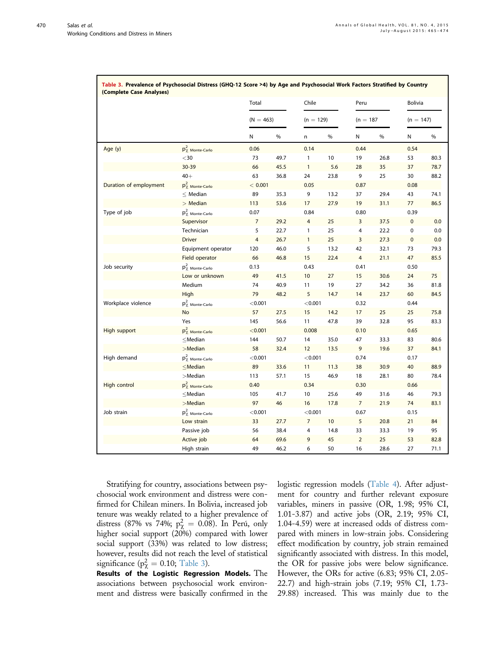<span id="page-5-0"></span>

|                        |                          | Total<br>$(N = 463)$ |      | Chile<br>$(n = 129)$ |      | Peru<br>$(n = 187)$ |      | <b>Bolivia</b><br>$(n = 147)$ |      |
|------------------------|--------------------------|----------------------|------|----------------------|------|---------------------|------|-------------------------------|------|
|                        |                          |                      |      |                      |      |                     |      |                               |      |
|                        |                          | N                    | %    | n                    | %    | N                   | %    | N                             | %    |
| Age (y)                | $p_\chi^2$ Monte-Carlo   | 0.06                 |      | 0.14                 |      | 0.44                |      | 0.54                          |      |
|                        | $30$                     | 73                   | 49.7 | $\mathbf{1}$         | 10   | 19                  | 26.8 | 53                            | 80.3 |
|                        | 30-39                    | 66                   | 45.5 | $\mathbf{1}$         | 5.6  | 28                  | 35   | 37                            | 78.7 |
|                        | $40+$                    | 63                   | 36.8 | 24                   | 23.8 | 9                   | 25   | 30                            | 88.2 |
| Duration of employment | $p_\chi^2$ Monte-Carlo   | < 0.001              |      | 0.05                 |      | 0.87                |      | 0.08                          |      |
|                        | $\leq$ Median            | 89                   | 35.3 | 9                    | 13.2 | 37                  | 29.4 | 43                            | 74.1 |
|                        | $>$ Median               | 113                  | 53.6 | 17                   | 27.9 | 19                  | 31.1 | 77                            | 86.5 |
| Type of job            | $p_\chi^2$ Monte-Carlo   | 0.07                 |      | 0.84                 |      | 0.80                |      | 0.39                          |      |
|                        | Supervisor               | $\overline{7}$       | 29.2 | $\overline{4}$       | 25   | 3                   | 37.5 | $\pmb{0}$                     | 0.0  |
|                        | Technician               | 5                    | 22.7 | $\mathbf{1}$         | 25   | 4                   | 22.2 | 0                             | 0.0  |
|                        | <b>Driver</b>            | 4                    | 26.7 | $\mathbf{1}$         | 25   | 3                   | 27.3 | $\pmb{0}$                     | 0.0  |
|                        | Equipment operator       | 120                  | 46.0 | 5                    | 13.2 | 42                  | 32.1 | 73                            | 79.3 |
|                        | Field operator           | 66                   | 46.8 | 15                   | 22.4 | 4                   | 21.1 | 47                            | 85.5 |
| Job security           | $p_\chi^2$ Monte-Carlo   | 0.13                 |      | 0.43                 |      | 0.41                |      | 0.50                          |      |
|                        | Low or unknown           | 49                   | 41.5 | 10                   | 27   | 15                  | 30.6 | 24                            | 75   |
|                        | Medium                   | 74                   | 40.9 | 11                   | 19   | 27                  | 34.2 | 36                            | 81.8 |
|                        | High                     | 79                   | 48.2 | 5                    | 14.7 | 14                  | 23.7 | 60                            | 84.5 |
| Workplace violence     | $p_\chi^2$ Monte-Carlo   | < 0.001              |      | < 0.001              |      | 0.32                |      | 0.44                          |      |
|                        | No                       | 57                   | 27.5 | 15                   | 14.2 | 17                  | 25   | 25                            | 75.8 |
|                        | Yes                      | 145                  | 56.6 | 11                   | 47.8 | 39                  | 32.8 | 95                            | 83.3 |
| High support           | $p_\chi^2$ Monte-Carlo   | < 0.001              |      | 0.008                |      | 0.10                |      | 0.65                          |      |
|                        | $\leq$ Median            | 144                  | 50.7 | 14                   | 35.0 | 47                  | 33.3 | 83                            | 80.6 |
|                        | $>$ Median               | 58                   | 32.4 | 12                   | 13.5 | 9                   | 19.6 | 37                            | 84.1 |
| High demand            | $p_\chi^2$ Monte-Carlo   | < 0.001              |      | < 0.001              |      | 0.74                |      | 0.17                          |      |
|                        | $\leq$ Median            | 89                   | 33.6 | 11                   | 11.3 | 38                  | 30.9 | 40                            | 88.9 |
|                        | $>$ Median               | 113                  | 57.1 | 15                   | 46.9 | 18                  | 28.1 | 80                            | 78.4 |
| High control           | $p_\chi^2$ Monte-Carlo   | 0.40                 |      | 0.34                 |      | 0.30                |      | 0.66                          |      |
|                        | $\leq$ Median            | 105                  | 41.7 | 10                   | 25.6 | 49                  | 31.6 | 46                            | 79.3 |
|                        | $>$ Median               | 97                   | 46   | 16                   | 17.8 | $\overline{7}$      | 21.9 | 74                            | 83.1 |
| Job strain             | $p_\gamma^2$ Monte-Carlo | < 0.001              |      | < 0.001              |      | 0.67                |      | 0.15                          |      |
|                        | Low strain               | 33                   | 27.7 | $\overline{7}$       | 10   | 5                   | 20.8 | 21                            | 84   |
|                        | Passive job              | 56                   | 38.4 | 4                    | 14.8 | 33                  | 33.3 | 19                            | 95   |
|                        | Active job               | 64                   | 69.6 | 9                    | 45   | $\overline{2}$      | 25   | 53                            | 82.8 |
|                        | High strain              | 49                   | 46.2 | 6                    | 50   | 16                  | 28.6 | 27                            | 71.1 |

| Table 3. Prevalence of Psychosocial Distress (GHQ-12 Score >4) by Age and Psychosocial Work Factors Stratified by Country |
|---------------------------------------------------------------------------------------------------------------------------|
| (Complete Case Analyses)                                                                                                  |

Stratifying for country, associations between psychosocial work environment and distress were confirmed for Chilean miners. In Bolivia, increased job tenure was weakly related to a higher prevalence of distress (87% vs 74%;  $p_{\chi}^2 = 0.08$ ). In Perú, only higher social support (20%) compared with lower social support (33%) was related to low distress; however, results did not reach the level of statistical significance ( $p^2$  = 0.10; Table 3).

Results of the Logistic Regression Models. The associations between psychosocial work environment and distress were basically confirmed in the logistic regression models ([Table 4](#page-6-0)). After adjustment for country and further relevant exposure variables, miners in passive (OR, 1.98; 95% CI, 1.01-3.87) and active jobs (OR, 2.19; 95% CI, 1.04-4.59) were at increased odds of distress compared with miners in low-strain jobs. Considering effect modification by country, job strain remained significantly associated with distress. In this model, the OR for passive jobs were below significance. However, the ORs for active (6.83; 95% CI, 2.05- 22.7) and high-strain jobs (7.19; 95% CI, 1.73- 29.88) increased. This was mainly due to the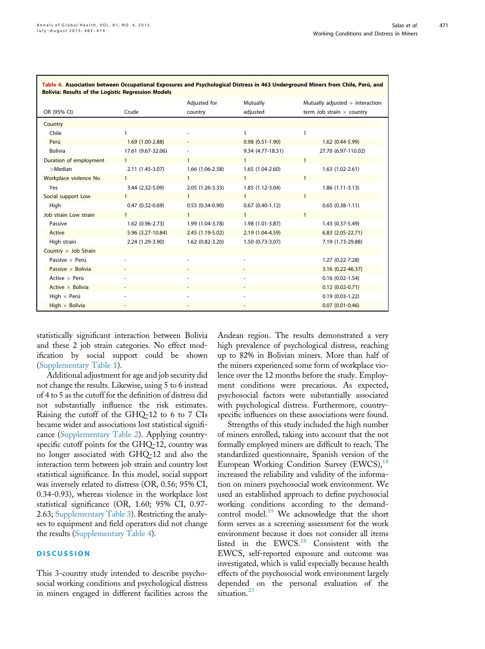| rable ¬. Association between occupational Exposures and r sychological bistress in ¬05 onderground miners nom chile, reru, and<br><b>Bolivia: Results of the Logistic Regression Models</b> |                    |                   |                   |                                   |  |  |  |
|---------------------------------------------------------------------------------------------------------------------------------------------------------------------------------------------|--------------------|-------------------|-------------------|-----------------------------------|--|--|--|
|                                                                                                                                                                                             |                    | Adjusted for      | Mutually          | Mutually adjusted $+$ interaction |  |  |  |
| OR (95% CI)                                                                                                                                                                                 | Crude              | country           | adjusted          | term Job strain $\times$ country  |  |  |  |
| Country                                                                                                                                                                                     |                    |                   |                   |                                   |  |  |  |
| Chile                                                                                                                                                                                       |                    |                   | 1                 |                                   |  |  |  |
| Perú                                                                                                                                                                                        | 1.69 (1.00-2.88)   |                   | $0.98(0.51-1.90)$ | $1.62(0.44-5.99)$                 |  |  |  |
| <b>Bolivia</b>                                                                                                                                                                              | 17.61 (9.67-32.06) |                   | 9.34 (4.77-18.31) | 27.70 (6.97-110.02)               |  |  |  |
| Duration of employment                                                                                                                                                                      | $\mathbf{1}$       | $\mathbf{1}$      | $\mathbf{1}$      |                                   |  |  |  |
| $>$ Median                                                                                                                                                                                  | 2.11 (1.45-3.07)   | 1.66 (1.06-2.58)  | 1.65 (1.04-2.60)  | $1.63(1.02-2.61)$                 |  |  |  |
| Workplace violence No                                                                                                                                                                       |                    | $\mathbf{1}$      | $\mathbf{1}$      |                                   |  |  |  |
| Yes                                                                                                                                                                                         | 3.44 (2.32-5.09)   | 2.05 (1.26-3.33)  | 1.85 (1.12-3.04)  | $1.86(1.11-3.13)$                 |  |  |  |
| Social support Low                                                                                                                                                                          |                    | $\mathbf{1}$      | $\mathbf{1}$      |                                   |  |  |  |
| High                                                                                                                                                                                        | $0.47(0.32-0.69)$  | $0.55(0.34-0.90)$ | $0.67(0.40-1.12)$ | $0.65(0.38-1.11)$                 |  |  |  |
| Job strain Low strain                                                                                                                                                                       |                    | $\mathbf{1}$      | $\mathbf{1}$      |                                   |  |  |  |
| Passive                                                                                                                                                                                     | 1.62 (0.96-2.73)   | 1.99 (1.04-3.78)  | 1.98 (1.01-3.87)  | 1.43 (0.37-5.49)                  |  |  |  |
| Active                                                                                                                                                                                      | 5.96 (3.27-10.84)  | $2.45(1.19-5.02)$ | 2.19 (1.04-4.59)  | $6.83$ $(2.05 - 22.71)$           |  |  |  |
| High strain                                                                                                                                                                                 | 2.24 (1.29-3.90)   | 1.62 (0.82-3.20)  | $1.50(0.73-3.07)$ | 7.19 (1.73-29.88)                 |  |  |  |
| Country $\times$ Job Strain                                                                                                                                                                 |                    |                   |                   |                                   |  |  |  |
| Passive $\times$ Perú                                                                                                                                                                       |                    |                   |                   | 1.27 (0.22-7.28)                  |  |  |  |
| Passive $\times$ Bolivia                                                                                                                                                                    |                    |                   |                   | 3.16 (0.22-46.37)                 |  |  |  |
| Active $\times$ Perú                                                                                                                                                                        |                    |                   |                   | $0.16(0.02-1.54)$                 |  |  |  |
| Active $\times$ Bolivia                                                                                                                                                                     |                    |                   |                   | $0.12(0.02 - 0.71)$               |  |  |  |
| High $\times$ Perú                                                                                                                                                                          |                    |                   |                   | $0.19(0.03-1.22)$                 |  |  |  |
| High $\times$ Bolivia                                                                                                                                                                       |                    |                   |                   | $0.07(0.01 - 0.46)$               |  |  |  |

<span id="page-6-0"></span>Table 4. Association between Occupational Exposures and Psychological Distress in 463 Underground Miners from Chile, Perú, and

statistically significant interaction between Bolivia and these 2 job strain categories. No effect modification by social support could be shown (Supplementary Table 1).

Additional adjustment for age and job security did not change the results. Likewise, using 5 to 6 instead of 4 to 5 as the cutoff for the definition of distress did not substantially influence the risk estimates. Raising the cutoff of the GHQ-12 to 6 to 7 CIs became wider and associations lost statistical significance (Supplementary Table 2). Applying countryspecific cutoff points for the GHQ-12, country was no longer associated with GHQ-12 and also the interaction term between job strain and country lost statistical significance. In this model, social support was inversely related to distress (OR, 0.56; 95% CI, 0.34-0.93), whereas violence in the workplace lost statistical significance (OR, 1.60; 95% CI, 0.97- 2.63; Supplementary Table 3). Restricting the analyses to equipment and field operators did not change the results (Supplementary Table 4).

# **DISCUSSION**

This 3-country study intended to describe psychosocial working conditions and psychological distress in miners engaged in different facilities across the

Andean region. The results demonstrated a very high prevalence of psychological distress, reaching up to 82% in Bolivian miners. More than half of the miners experienced some form of workplace violence over the 12 months before the study. Employment conditions were precarious. As expected, psychosocial factors were substantially associated with psychological distress. Furthermore, countryspecific influences on these associations were found.

Strengths of this study included the high number of miners enrolled, taking into account that the not formally employed miners are difficult to reach. The standardized questionnaire, Spanish version of the European Working Condition Survey (EWCS),<sup>[18](#page-9-0)</sup> increased the reliability and validity of the information on miners psychosocial work environment. We used an established approach to define psychosocial working conditions according to the demand-control model.<sup>[19](#page-9-0)</sup> We acknowledge that the short form serves as a screening assessment for the work environment because it does not consider all items listed in the EWCS.<sup>[18](#page-9-0)</sup> Consistent with the EWCS, self-reported exposure and outcome was investigated, which is valid especially because health effects of the psychosocial work environment largely depended on the personal evaluation of the situation.<sup>[23](#page-9-0)</sup>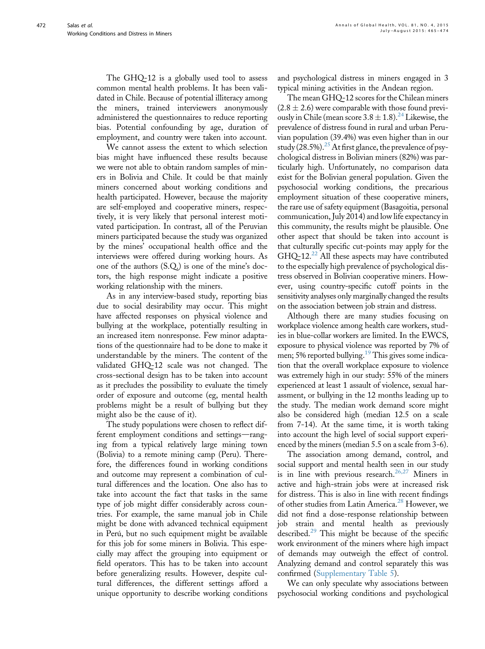The GHQ-12 is a globally used tool to assess common mental health problems. It has been validated in Chile. Because of potential illiteracy among the miners, trained interviewers anonymously administered the questionnaires to reduce reporting bias. Potential confounding by age, duration of employment, and country were taken into account.

We cannot assess the extent to which selection bias might have influenced these results because we were not able to obtain random samples of miners in Bolivia and Chile. It could be that mainly miners concerned about working conditions and health participated. However, because the majority are self-employed and cooperative miners, respectively, it is very likely that personal interest motivated participation. In contrast, all of the Peruvian miners participated because the study was organized by the mines' occupational health office and the interviews were offered during working hours. As one of the authors (S.Q.) is one of the mine's doctors, the high response might indicate a positive working relationship with the miners.

As in any interview-based study, reporting bias due to social desirability may occur. This might have affected responses on physical violence and bullying at the workplace, potentially resulting in an increased item nonresponse. Few minor adaptations of the questionnaire had to be done to make it understandable by the miners. The content of the validated GHQ-12 scale was not changed. The cross-sectional design has to be taken into account as it precludes the possibility to evaluate the timely order of exposure and outcome (eg, mental health problems might be a result of bullying but they might also be the cause of it).

The study populations were chosen to reflect different employment conditions and settings-ranging from a typical relatively large mining town (Bolivia) to a remote mining camp (Peru). Therefore, the differences found in working conditions and outcome may represent a combination of cultural differences and the location. One also has to take into account the fact that tasks in the same type of job might differ considerably across countries. For example, the same manual job in Chile might be done with advanced technical equipment in Perú, but no such equipment might be available for this job for some miners in Bolivia. This especially may affect the grouping into equipment or field operators. This has to be taken into account before generalizing results. However, despite cultural differences, the different settings afford a unique opportunity to describe working conditions and psychological distress in miners engaged in 3 typical mining activities in the Andean region.

The mean GHQ-12 scores for the Chilean miners  $(2.8 \pm 2.6)$  were comparable with those found previously in Chile (mean score  $3.8 \pm 1.8$ ).<sup>[24](#page-9-0)</sup> Likewise, the prevalence of distress found in rural and urban Peruvian population (39.4%) was even higher than in our study (28.5%).<sup>[25](#page-9-0)</sup> At first glance, the prevalence of psychological distress in Bolivian miners (82%) was particularly high. Unfortunately, no comparison data exist for the Bolivian general population. Given the psychosocial working conditions, the precarious employment situation of these cooperative miners, the rare use of safety equipment (Basagoitia, personal communication, July 2014) and low life expectancy in this community, the results might be plausible. One other aspect that should be taken into account is that culturally specific cut-points may apply for the  $GHQ-12.<sup>22</sup>$  $GHQ-12.<sup>22</sup>$  $GHQ-12.<sup>22</sup>$  All these aspects may have contributed to the especially high prevalence of psychological distress observed in Bolivian cooperative miners. However, using country-specific cutoff points in the sensitivity analyses only marginally changed the results on the association between job strain and distress.

Although there are many studies focusing on workplace violence among health care workers, studies in blue-collar workers are limited. In the EWCS, exposure to physical violence was reported by 7% of men; 5% reported bullying.<sup>19</sup> This gives some indication that the overall workplace exposure to violence was extremely high in our study: 55% of the miners experienced at least 1 assault of violence, sexual harassment, or bullying in the 12 months leading up to the study. The median work demand score might also be considered high (median 12.5 on a scale from 7-14). At the same time, it is worth taking into account the high level of social support experienced by the miners (median 5.5 on a scale from 3-6).

The association among demand, control, and social support and mental health seen in our study is in line with previous research.<sup>[26,27](#page-9-0)</sup> Miners in active and high-strain jobs were at increased risk for distress. This is also in line with recent findings of other studies from Latin America.<sup>[28](#page-9-0)</sup> However, we did not find a dose-response relationship between job strain and mental health as previously described.<sup>[29](#page-9-0)</sup> This might be because of the specific work environment of the miners where high impact of demands may outweigh the effect of control. Analyzing demand and control separately this was confirmed (Supplementary Table 5).

We can only speculate why associations between psychosocial working conditions and psychological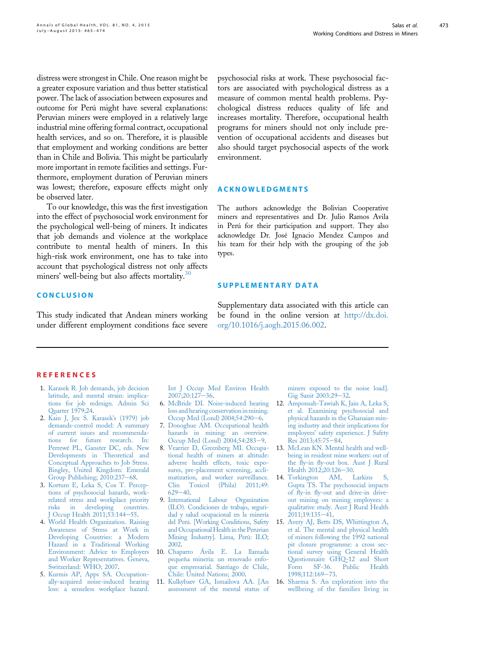<span id="page-8-0"></span>distress were strongest in Chile. One reason might be a greater exposure variation and thus better statistical power. The lack of association between exposures and outcome for Perú might have several explanations: Peruvian miners were employed in a relatively large industrial mine offering formal contract, occupational health services, and so on. Therefore, it is plausible that employment and working conditions are better than in Chile and Bolivia. This might be particularly more important in remote facilities and settings. Furthermore, employment duration of Peruvian miners was lowest; therefore, exposure effects might only be observed later.

To our knowledge, this was the first investigation into the effect of psychosocial work environment for the psychological well-being of miners. It indicates that job demands and violence at the workplace contribute to mental health of miners. In this high-risk work environment, one has to take into account that psychological distress not only affects miners' well-being but also affects mortality.<sup>[30](#page-9-0)</sup>

## **CONCLUSION**

This study indicated that Andean miners working under different employment conditions face severe psychosocial risks at work. These psychosocial factors are associated with psychological distress as a measure of common mental health problems. Psychological distress reduces quality of life and increases mortality. Therefore, occupational health programs for miners should not only include prevention of occupational accidents and diseases but also should target psychosocial aspects of the work environment.

## ACKNOWLEDGMENTS

The authors acknowledge the Bolivian Cooperative miners and representatives and Dr. Julio Ramos Avila in Perú for their participation and support. They also acknowledge Dr. José Ignacio Mendez Campos and his team for their help with the grouping of the job types.

### SUPPLEMENTARY DATA

Supplementary data associated with this article can be found in the online version at [http://dx.doi.](http://dx.doi.org/10.1016/j.aogh.2015.06.002) [org/10.1016/j.aogh.2015.06.002](http://dx.doi.org/10.1016/j.aogh.2015.06.002).

### **REFERENCES**

- 1. [Karasek R. Job demands, job decision](http://refhub.elsevier.com/S2214-9996(15)01205-9/sref1) [latitude, and mental strain: implica](http://refhub.elsevier.com/S2214-9996(15)01205-9/sref1)[tions for job redesign. Admin Sci](http://refhub.elsevier.com/S2214-9996(15)01205-9/sref1) [Quarter 1979;24.](http://refhub.elsevier.com/S2214-9996(15)01205-9/sref1)
- 2. [Kain J, Jex S. Karasek](http://refhub.elsevier.com/S2214-9996(15)01205-9/sref2)'s (1979) job [demands-control model: A summary](http://refhub.elsevier.com/S2214-9996(15)01205-9/sref2) [of current issues and recommenda](http://refhub.elsevier.com/S2214-9996(15)01205-9/sref2)[tions for future research. In:](http://refhub.elsevier.com/S2214-9996(15)01205-9/sref2) [Perrewé PL, Ganster DC, eds. New](http://refhub.elsevier.com/S2214-9996(15)01205-9/sref2) [Developments in Theoretical and](http://refhub.elsevier.com/S2214-9996(15)01205-9/sref2) [Conceptual Approaches to Job Stress.](http://refhub.elsevier.com/S2214-9996(15)01205-9/sref2) [Bingley, United Kingdom: Emerald](http://refhub.elsevier.com/S2214-9996(15)01205-9/sref2) Group Publishing;  $2010:237-68$  $2010:237-68$ .
- 3. [Kortum E, Leka S, Cox T. Percep](http://refhub.elsevier.com/S2214-9996(15)01205-9/sref3)[tions of psychosocial hazards, work](http://refhub.elsevier.com/S2214-9996(15)01205-9/sref3)[related stress and workplace priority](http://refhub.elsevier.com/S2214-9996(15)01205-9/sref3) [risks in developing countries.](http://refhub.elsevier.com/S2214-9996(15)01205-9/sref3) [J Occup Health 2011;53:144](http://refhub.elsevier.com/S2214-9996(15)01205-9/sref3)-[55](http://refhub.elsevier.com/S2214-9996(15)01205-9/sref3).
- 4. [World Health Organization. Raising](http://refhub.elsevier.com/S2214-9996(15)01205-9/sref4) [Awareness of Stress at Work in](http://refhub.elsevier.com/S2214-9996(15)01205-9/sref4) [Developing Countries: a Modern](http://refhub.elsevier.com/S2214-9996(15)01205-9/sref4) [Hazard in a Traditional Working](http://refhub.elsevier.com/S2214-9996(15)01205-9/sref4) [Environment: Advice to Employers](http://refhub.elsevier.com/S2214-9996(15)01205-9/sref4) [and Worker Representatives. Geneva,](http://refhub.elsevier.com/S2214-9996(15)01205-9/sref4) [Switzerland: WHO; 2007](http://refhub.elsevier.com/S2214-9996(15)01205-9/sref4).
- 5. [Kurmis AP, Apps SA. Occupation](http://refhub.elsevier.com/S2214-9996(15)01205-9/sref5)[ally-acquired noise-induced hearing](http://refhub.elsevier.com/S2214-9996(15)01205-9/sref5) [loss: a senseless workplace hazard.](http://refhub.elsevier.com/S2214-9996(15)01205-9/sref5)

[Int J Occup Med Environ Health](http://refhub.elsevier.com/S2214-9996(15)01205-9/sref5)  $2007;20:127-36.$  $2007;20:127-36.$  $2007;20:127-36.$  $2007;20:127-36.$ 

- 6. [McBride DI. Noise-induced hearing](http://refhub.elsevier.com/S2214-9996(15)01205-9/sref6) [loss and hearing conservation in mining.](http://refhub.elsevier.com/S2214-9996(15)01205-9/sref6) [Occup Med \(Lond\) 2004;54:290](http://refhub.elsevier.com/S2214-9996(15)01205-9/sref6)-[6.](http://refhub.elsevier.com/S2214-9996(15)01205-9/sref6)
- 7. [Donoghue AM. Occupational health](http://refhub.elsevier.com/S2214-9996(15)01205-9/sref7) [hazards in mining: an overview.](http://refhub.elsevier.com/S2214-9996(15)01205-9/sref7) [Occup Med \(Lond\) 2004;54:283](http://refhub.elsevier.com/S2214-9996(15)01205-9/sref7)-[9](http://refhub.elsevier.com/S2214-9996(15)01205-9/sref7).
- 8. [Vearrier D, Greenberg MI. Occupa](http://refhub.elsevier.com/S2214-9996(15)01205-9/sref8)[tional health of miners at altitude:](http://refhub.elsevier.com/S2214-9996(15)01205-9/sref8) [adverse health effects, toxic expo](http://refhub.elsevier.com/S2214-9996(15)01205-9/sref8)[sures, pre-placement screening, accli](http://refhub.elsevier.com/S2214-9996(15)01205-9/sref8)[matization, and worker surveillance.](http://refhub.elsevier.com/S2214-9996(15)01205-9/sref8) [Clin Toxicol \(Phila\) 2011;49:](http://refhub.elsevier.com/S2214-9996(15)01205-9/sref8)  $629 - 40.$  $629 - 40.$  $629 - 40.$
- 9. [International Labour Organization](http://refhub.elsevier.com/S2214-9996(15)01205-9/sref9) [\(ILO\). Condiciones de trabajo, seguri](http://refhub.elsevier.com/S2214-9996(15)01205-9/sref9)[dad y salud ocupacional en la minería](http://refhub.elsevier.com/S2214-9996(15)01205-9/sref9) [del Perú. \[Working Conditions, Safety](http://refhub.elsevier.com/S2214-9996(15)01205-9/sref9) [and Occupational Health in the Peruvian](http://refhub.elsevier.com/S2214-9996(15)01205-9/sref9) [Mining Industry\]. Lima, Perú: ILO;](http://refhub.elsevier.com/S2214-9996(15)01205-9/sref9) [2002.](http://refhub.elsevier.com/S2214-9996(15)01205-9/sref9)
- 10. [Chaparro Ávila E. La llamada](http://refhub.elsevier.com/S2214-9996(15)01205-9/sref10) [pequeña minería: un renovado enfo](http://refhub.elsevier.com/S2214-9996(15)01205-9/sref10)[que empresarial. Santiago de Chile,](http://refhub.elsevier.com/S2214-9996(15)01205-9/sref10) [Chile: United Nations; 2000](http://refhub.elsevier.com/S2214-9996(15)01205-9/sref10).
- 11. [Kulkybaev GA, Ismailova AA. \[An](http://refhub.elsevier.com/S2214-9996(15)01205-9/sref11) [assessment of the mental status of](http://refhub.elsevier.com/S2214-9996(15)01205-9/sref11)

[miners exposed to the noise load\].](http://refhub.elsevier.com/S2214-9996(15)01205-9/sref11) [Gig Sanit 2003:29](http://refhub.elsevier.com/S2214-9996(15)01205-9/sref11)-[32.](http://refhub.elsevier.com/S2214-9996(15)01205-9/sref11)

- 12. [Amponsah-Tawiah K, Jain A, Leka S,](http://refhub.elsevier.com/S2214-9996(15)01205-9/sref12) [et al. Examining psychosocial and](http://refhub.elsevier.com/S2214-9996(15)01205-9/sref12) [physical hazards in the Ghanaian min](http://refhub.elsevier.com/S2214-9996(15)01205-9/sref12)[ing industry and their implications for](http://refhub.elsevier.com/S2214-9996(15)01205-9/sref12) employees' [safety experience. J Safety](http://refhub.elsevier.com/S2214-9996(15)01205-9/sref12) [Res 2013;45:75](http://refhub.elsevier.com/S2214-9996(15)01205-9/sref12)-[84](http://refhub.elsevier.com/S2214-9996(15)01205-9/sref12).
- 13. [McLean KN. Mental health and well](http://refhub.elsevier.com/S2214-9996(15)01205-9/sref13)[being in resident mine workers: out of](http://refhub.elsevier.com/S2214-9996(15)01205-9/sref13) the fly-in fl[y-out box. Aust J Rural](http://refhub.elsevier.com/S2214-9996(15)01205-9/sref13) [Health 2012;20:126](http://refhub.elsevier.com/S2214-9996(15)01205-9/sref13)-[30](http://refhub.elsevier.com/S2214-9996(15)01205-9/sref13).<br>14. Torkington AM, I
- AM, Larkins S, [Gupta TS. The psychosocial impacts](http://refhub.elsevier.com/S2214-9996(15)01205-9/sref14) of fly-in fl[y-out and drive-in drive](http://refhub.elsevier.com/S2214-9996(15)01205-9/sref14)[out mining on mining employees: a](http://refhub.elsevier.com/S2214-9996(15)01205-9/sref14) [qualitative study. Aust J Rural Health](http://refhub.elsevier.com/S2214-9996(15)01205-9/sref14)  $2011;19:135 - 41.$  $2011;19:135 - 41.$  $2011;19:135 - 41.$
- 15. [Avery AJ, Betts DS, Whittington A,](http://refhub.elsevier.com/S2214-9996(15)01205-9/sref15) [et al. The mental and physical health](http://refhub.elsevier.com/S2214-9996(15)01205-9/sref15) [of miners following the 1992 national](http://refhub.elsevier.com/S2214-9996(15)01205-9/sref15) [pit closure programme: a cross sec](http://refhub.elsevier.com/S2214-9996(15)01205-9/sref15)[tional survey using General Health](http://refhub.elsevier.com/S2214-9996(15)01205-9/sref15) [Questionnaire GHQ-12 and Short](http://refhub.elsevier.com/S2214-9996(15)01205-9/sref15)<br>Form SF-36. Public Health  $Form$  SF-36. [1998;112:169](http://refhub.elsevier.com/S2214-9996(15)01205-9/sref15)-[73.](http://refhub.elsevier.com/S2214-9996(15)01205-9/sref15)
- 16. [Sharma S. An exploration into the](http://refhub.elsevier.com/S2214-9996(15)01205-9/sref16) [wellbeing of the families living in](http://refhub.elsevier.com/S2214-9996(15)01205-9/sref16)